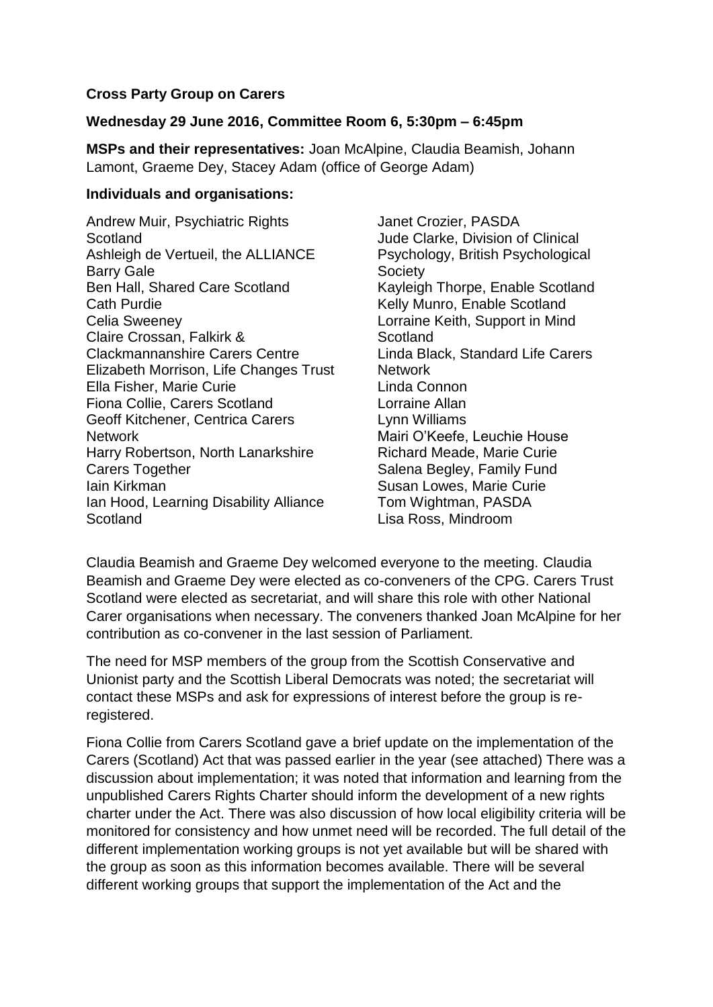### **Cross Party Group on Carers**

### **Wednesday 29 June 2016, Committee Room 6, 5:30pm – 6:45pm**

**MSPs and their representatives:** Joan McAlpine, Claudia Beamish, Johann Lamont, Graeme Dey, Stacey Adam (office of George Adam)

#### **Individuals and organisations:**

Andrew Muir, Psychiatric Rights Scotland Ashleigh de Vertueil, the ALLIANCE Barry Gale Ben Hall, Shared Care Scotland Cath Purdie Celia Sweeney Claire Crossan, Falkirk & Clackmannanshire Carers Centre Elizabeth Morrison, Life Changes Trust Ella Fisher, Marie Curie Fiona Collie, Carers Scotland Geoff Kitchener, Centrica Carers **Network** Harry Robertson, North Lanarkshire Carers Together Iain Kirkman Ian Hood, Learning Disability Alliance **Scotland** 

Janet Crozier, PASDA Jude Clarke, Division of Clinical Psychology, British Psychological **Society** Kayleigh Thorpe, Enable Scotland Kelly Munro, Enable Scotland Lorraine Keith, Support in Mind **Scotland** Linda Black, Standard Life Carers **Network** Linda Connon Lorraine Allan Lynn Williams Mairi O'Keefe, Leuchie House Richard Meade, Marie Curie Salena Begley, Family Fund Susan Lowes, Marie Curie Tom Wightman, PASDA Lisa Ross, Mindroom

Claudia Beamish and Graeme Dey welcomed everyone to the meeting. Claudia Beamish and Graeme Dey were elected as co-conveners of the CPG. Carers Trust Scotland were elected as secretariat, and will share this role with other National Carer organisations when necessary. The conveners thanked Joan McAlpine for her contribution as co-convener in the last session of Parliament.

The need for MSP members of the group from the Scottish Conservative and Unionist party and the Scottish Liberal Democrats was noted; the secretariat will contact these MSPs and ask for expressions of interest before the group is reregistered.

Fiona Collie from Carers Scotland gave a brief update on the implementation of the Carers (Scotland) Act that was passed earlier in the year (see attached) There was a discussion about implementation; it was noted that information and learning from the unpublished Carers Rights Charter should inform the development of a new rights charter under the Act. There was also discussion of how local eligibility criteria will be monitored for consistency and how unmet need will be recorded. The full detail of the different implementation working groups is not yet available but will be shared with the group as soon as this information becomes available. There will be several different working groups that support the implementation of the Act and the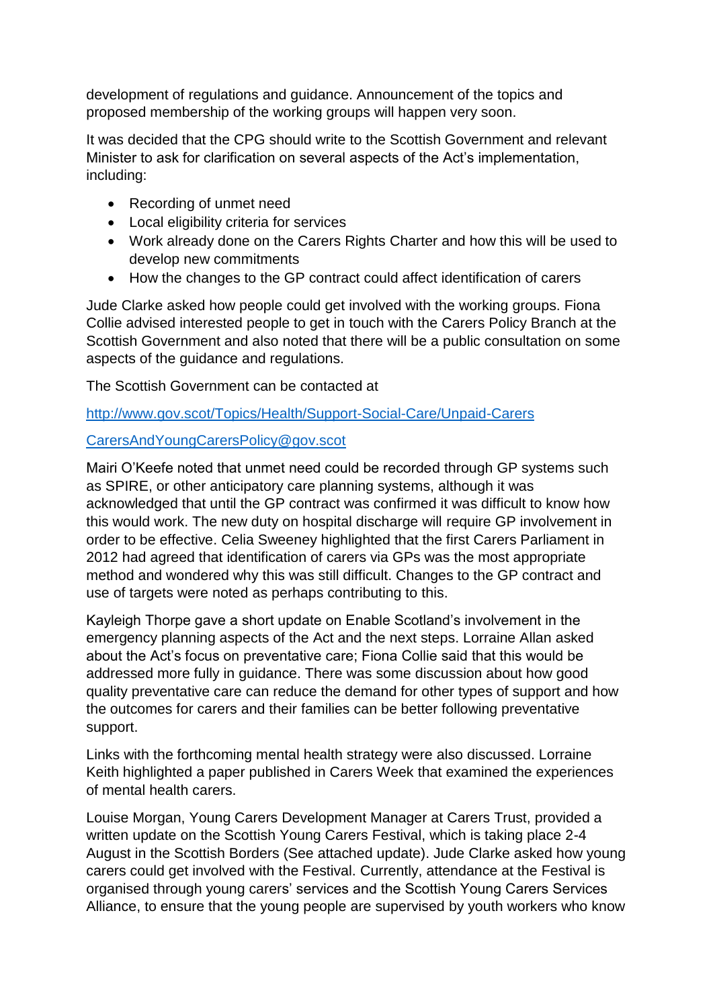development of regulations and guidance. Announcement of the topics and proposed membership of the working groups will happen very soon.

It was decided that the CPG should write to the Scottish Government and relevant Minister to ask for clarification on several aspects of the Act's implementation, including:

- Recording of unmet need
- Local eligibility criteria for services
- Work already done on the Carers Rights Charter and how this will be used to develop new commitments
- How the changes to the GP contract could affect identification of carers

Jude Clarke asked how people could get involved with the working groups. Fiona Collie advised interested people to get in touch with the Carers Policy Branch at the Scottish Government and also noted that there will be a public consultation on some aspects of the guidance and regulations.

The Scottish Government can be contacted at

<http://www.gov.scot/Topics/Health/Support-Social-Care/Unpaid-Carers>

## [CarersAndYoungCarersPolicy@gov.scot](mailto:CarersAndYoungCarersPolicy@gov.scot)

Mairi O'Keefe noted that unmet need could be recorded through GP systems such as SPIRE, or other anticipatory care planning systems, although it was acknowledged that until the GP contract was confirmed it was difficult to know how this would work. The new duty on hospital discharge will require GP involvement in order to be effective. Celia Sweeney highlighted that the first Carers Parliament in 2012 had agreed that identification of carers via GPs was the most appropriate method and wondered why this was still difficult. Changes to the GP contract and use of targets were noted as perhaps contributing to this.

Kayleigh Thorpe gave a short update on Enable Scotland's involvement in the emergency planning aspects of the Act and the next steps. Lorraine Allan asked about the Act's focus on preventative care; Fiona Collie said that this would be addressed more fully in guidance. There was some discussion about how good quality preventative care can reduce the demand for other types of support and how the outcomes for carers and their families can be better following preventative support.

Links with the forthcoming mental health strategy were also discussed. Lorraine Keith highlighted a paper published in Carers Week that examined the experiences of mental health carers.

Louise Morgan, Young Carers Development Manager at Carers Trust, provided a written update on the Scottish Young Carers Festival, which is taking place 2-4 August in the Scottish Borders (See attached update). Jude Clarke asked how young carers could get involved with the Festival. Currently, attendance at the Festival is organised through young carers' services and the Scottish Young Carers Services Alliance, to ensure that the young people are supervised by youth workers who know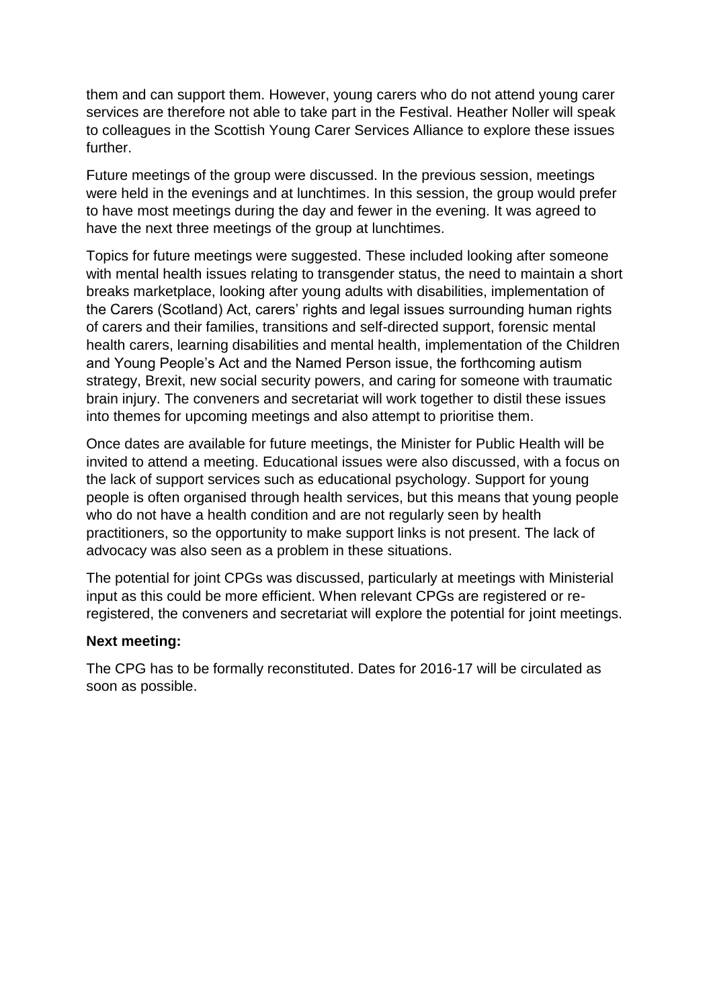them and can support them. However, young carers who do not attend young carer services are therefore not able to take part in the Festival. Heather Noller will speak to colleagues in the Scottish Young Carer Services Alliance to explore these issues further.

Future meetings of the group were discussed. In the previous session, meetings were held in the evenings and at lunchtimes. In this session, the group would prefer to have most meetings during the day and fewer in the evening. It was agreed to have the next three meetings of the group at lunchtimes.

Topics for future meetings were suggested. These included looking after someone with mental health issues relating to transgender status, the need to maintain a short breaks marketplace, looking after young adults with disabilities, implementation of the Carers (Scotland) Act, carers' rights and legal issues surrounding human rights of carers and their families, transitions and self-directed support, forensic mental health carers, learning disabilities and mental health, implementation of the Children and Young People's Act and the Named Person issue, the forthcoming autism strategy, Brexit, new social security powers, and caring for someone with traumatic brain injury. The conveners and secretariat will work together to distil these issues into themes for upcoming meetings and also attempt to prioritise them.

Once dates are available for future meetings, the Minister for Public Health will be invited to attend a meeting. Educational issues were also discussed, with a focus on the lack of support services such as educational psychology. Support for young people is often organised through health services, but this means that young people who do not have a health condition and are not regularly seen by health practitioners, so the opportunity to make support links is not present. The lack of advocacy was also seen as a problem in these situations.

The potential for joint CPGs was discussed, particularly at meetings with Ministerial input as this could be more efficient. When relevant CPGs are registered or reregistered, the conveners and secretariat will explore the potential for joint meetings.

### **Next meeting:**

The CPG has to be formally reconstituted. Dates for 2016-17 will be circulated as soon as possible.